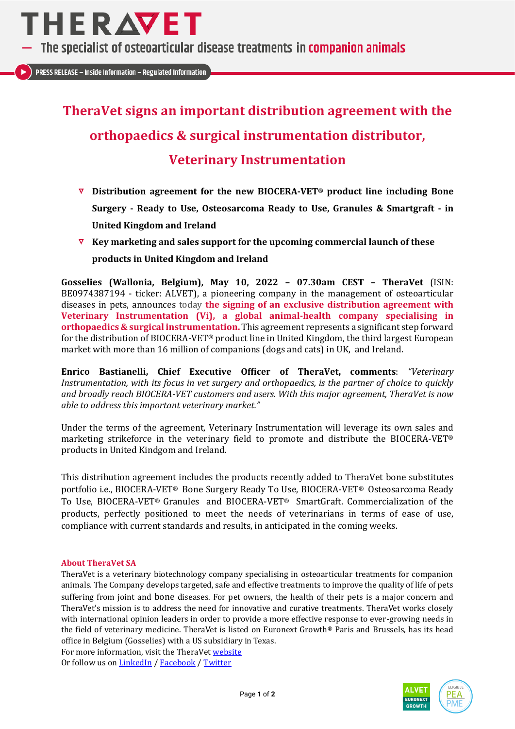

The specialist of osteoarticular disease treatments in companion animals

**PRESS RELEASE - Inside Information - Regulated Information** 

## **TheraVet signs an important distribution agreement with the orthopaedics & surgical instrumentation distributor, Veterinary Instrumentation**

- **Distribution agreement for the new BIOCERA-VET® product line including Bone Surgery - Ready to Use, Osteosarcoma Ready to Use, Granules & Smartgraft - in United Kingdom and Ireland**
- **Key marketing and sales support for the upcoming commercial launch of these products in United Kingdom and Ireland**

**Gosselies (Wallonia, Belgium), May 10, 2022 – 07.30am CEST – TheraVet** (ISIN: BE0974387194 - ticker: ALVET), a pioneering company in the management of osteoarticular diseases in pets, announces today **the signing of an exclusive distribution agreement with Veterinary Instrumentation (Vi), a global animal-health company specialising in orthopaedics & surgical instrumentation.** This agreement represents a significant step forward for the distribution of BIOCERA-VET® product line in United Kingdom, the third largest European market with more than 16 million of companions (dogs and cats) in UK, and Ireland.

**Enrico Bastianelli, Chief Executive Officer of TheraVet, comments**: *"Veterinary Instrumentation, with its focus in vet surgery and orthopaedics, is the partner of choice to quickly and broadly reach BIOCERA-VET customers and users. With this major agreement, TheraVet is now able to address this important veterinary market."*

Under the terms of the agreement, Veterinary Instrumentation will leverage its own sales and marketing strikeforce in the veterinary field to promote and distribute the BIOCERA-VET® products in United Kindgom and Ireland.

This distribution agreement includes the products recently added to TheraVet bone substitutes portfolio i.e., BIOCERA-VET® Bone Surgery Ready To Use, BIOCERA-VET® Osteosarcoma Ready To Use, BIOCERA-VET® Granules and BIOCERA-VET® SmartGraft. Commercialization of the products, perfectly positioned to meet the needs of veterinarians in terms of ease of use, compliance with current standards and results, in anticipated in the coming weeks.

### **About TheraVet SA**

TheraVet is a veterinary biotechnology company specialising in osteoarticular treatments for companion animals. The Company develops targeted, safe and effective treatments to improve the quality of life of pets suffering from joint and bone diseases. For pet owners, the health of their pets is a major concern and TheraVet's mission is to address the need for innovative and curative treatments. TheraVet works closely with international opinion leaders in order to provide a more effective response to ever-growing needs in the field of veterinary medicine. TheraVet is listed on Euronext Growth® Paris and Brussels, has its head office in Belgium (Gosselies) with a US subsidiary in Texas.

For more information, visit the TheraVet [website](http://www.thera.vet/) Or follow us on [LinkedIn](https://www.linkedin.com/company/thera-vet/) / [Facebook](https://www.facebook.com/TheraVet-105115178507395) [/ Twitter](https://twitter.com/theravet_be)